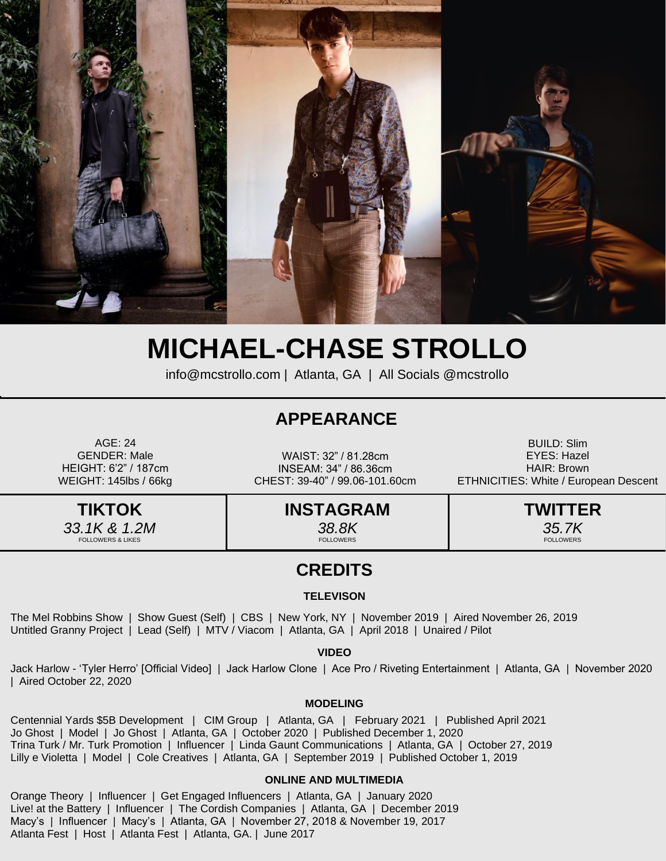

# **MICHAEL-CHASE STROLLO**

[info@mcstrollo.com](mailto:info@mcstrollo.com) | Atlanta, GA | All Socials @mcstrollo

### **APPEARANCE**

AGE: 24 GENDER: Male HEIGHT: 6'2" / 187cm WEIGHT: 145lbs / 66kg

WAIST: 32" / 81.28cm INSEAM: 34" / 86.36cm CHEST: 39-40" / 99.06-101.60cm

BUILD: Slim EYES: Hazel HAIR: Brown ETHNICITIES: White / European Descent

**TIKTOK** *33.1K & 1.2M*  OLLOWERS & LIKE

**INSTAGRAM** *38.8K* FOLLOWERS

**TWITTER** *35.7K* FOLLOWERS

### **CREDITS**

### **TELEVISON**

The Mel Robbins Show | Show Guest (Self) | CBS | New York, NY | November 2019 | Aired November 26, 2019 Untitled Granny Project | Lead (Self) | MTV / Viacom | Atlanta, GA | April 2018 | Unaired / Pilot

### **VIDEO**

Jack Harlow - 'Tyler Herro' [Official Video] | Jack Harlow Clone | Ace Pro / Riveting Entertainment | Atlanta, GA | November 2020 | Aired October 22, 2020

#### **MODELING**

Centennial Yards \$5B Development | CIM Group | Atlanta, GA | February 2021 | Published April 2021 Jo Ghost | Model | Jo Ghost | Atlanta, GA | October 2020 | Published December 1, 2020 Trina Turk / Mr. Turk Promotion | Influencer | Linda Gaunt Communications | Atlanta, GA | October 27, 2019 Lilly e Violetta | Model | Cole Creatives | Atlanta, GA | September 2019 | Published October 1, 2019

### **ONLINE AND MULTIMEDIA**

Orange Theory | Influencer | Get Engaged Influencers | Atlanta, GA | January 2020 Live! at the Battery | Influencer | The Cordish Companies | Atlanta, GA | December 2019 Macy's | Influencer | Macy's | Atlanta, GA | November 27, 2018 & November 19, 2017 Atlanta Fest | Host | Atlanta Fest | Atlanta, GA. | June 2017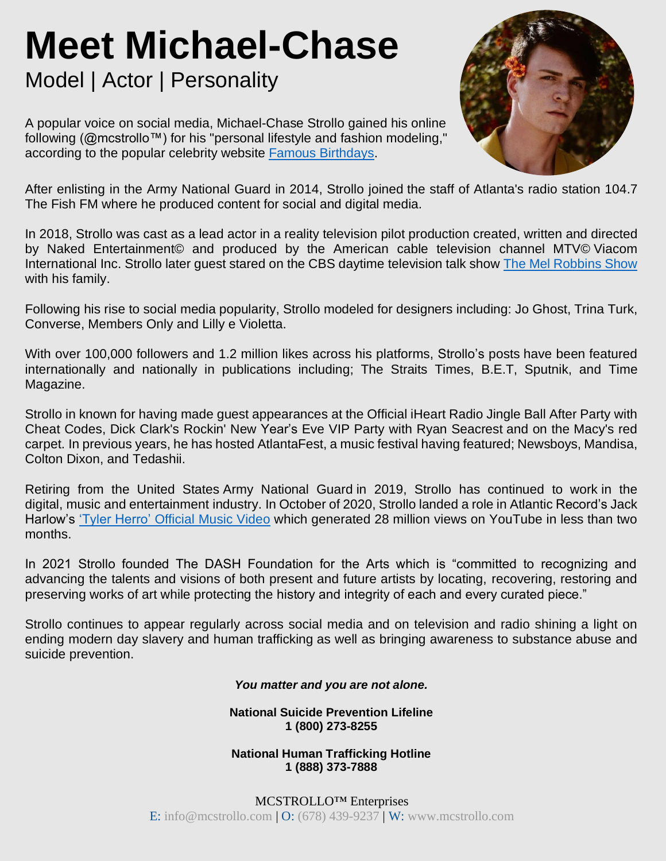# **Meet Michael-Chase**

## Model | Actor | Personality

A popular voice on social media, Michael-Chase Strollo gained his online following (@mcstrollo™) for his "personal lifestyle and fashion modeling," according to the popular celebrity website Famous [Birthdays.](https://www.famousbirthdays.com/people/michael-strollo.html)



After enlisting in the Army National Guard in 2014, Strollo joined the staff of Atlanta's radio station 104.7 The Fish FM where he produced content for social and digital media.

In 2018, Strollo was cast as a lead actor in a reality television pilot production created, written and directed by Naked Entertainment© and produced by the American cable television channel MTV© Viacom International Inc. Strollo later guest stared on the CBS daytime television talk show The Mel [Robbins](https://www.imdb.com/name/nm11264831/) Show with his family.

Following his rise to social media popularity, Strollo modeled for designers including: Jo Ghost, Trina Turk, Converse, Members Only and Lilly e Violetta.

With over 100,000 followers and 1.2 million likes across his platforms, Strollo's posts have been featured internationally and nationally in publications including; The Straits Times, B.E.T, Sputnik, and Time Magazine.

Strollo in known for having made guest appearances at the Official iHeart Radio Jingle Ball After Party with Cheat Codes, Dick Clark's Rockin' New Year's Eve VIP Party with Ryan Seacrest and on the Macy's red carpet. In previous years, he has hosted AtlantaFest, a music festival having featured; Newsboys, Mandisa, Colton Dixon, and Tedashii.

Retiring from the United States Army National Guard in 2019, Strollo has continued to work in the digital, music and entertainment industry. In October of 2020, Strollo landed a role in Atlantic Record's Jack Harlow's 'Tyler Herro' [Official](https://www.youtube.com/watch?v=np9Ub1LilKU) Music Video which generated 28 million views on YouTube in less than two months.

In 2021 Strollo founded The DASH Foundation for the Arts which is "committed to recognizing and advancing the talents and visions of both present and future artists by locating, recovering, restoring and preserving works of art while protecting the history and integrity of each and every curated piece."

Strollo continues to appear regularly across social media and on television and radio shining a light on ending modern day slavery and human trafficking as well as bringing awareness to substance abuse and suicide prevention.

*You matter and you are not alone.*

**National Suicide Prevention Lifeline 1 (800) 273-8255**

**National Human Trafficking Hotline 1 (888) 373-7888**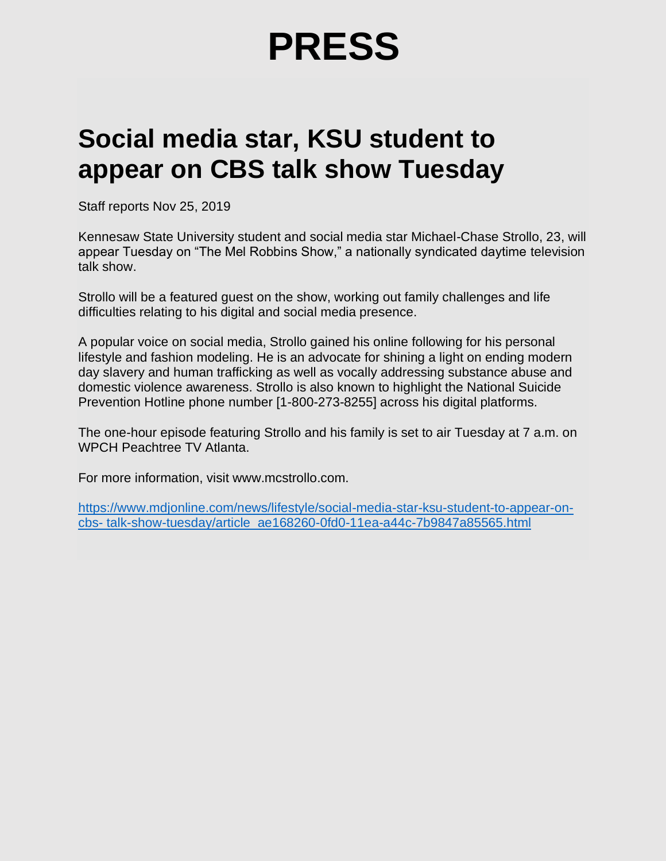# **PRESS**

## **Social media star, KSU student to appear on CBS talk show Tuesday**

Staff reports Nov 25, 2019

Kennesaw State University student and social media star Michael-Chase Strollo, 23, will appear Tuesday on "The Mel Robbins Show," a nationally syndicated daytime television talk show.

Strollo will be a featured guest on the show, working out family challenges and life difficulties relating to his digital and social media presence.

A popular voice on social media, Strollo gained his online following for his personal lifestyle and fashion modeling. He is an advocate for shining a light on ending modern day slavery and human trafficking as well as vocally addressing substance abuse and domestic violence awareness. Strollo is also known to highlight the National Suicide Prevention Hotline phone number [1-800-273-8255] across his digital platforms.

The one-hour episode featuring Strollo and his family is set to air Tuesday at 7 a.m. on WPCH Peachtree TV Atlanta.

For more information, visit www.mcstrollo.com.

[https://www.mdjonline.com/news/lifestyle/social-media-star-ksu-student-to-appear-on](https://www.mdjonline.com/news/lifestyle/social-media-star-ksu-student-to-appear-on-cbs-%20talk-show-tuesday/article_ae168260-0fd0-11ea-a44c-7b9847a85565.html)cbs- [talk-show-tuesday/article\\_ae168260-0fd0-11ea-a44c-7b9847a85565.html](https://www.mdjonline.com/news/lifestyle/social-media-star-ksu-student-to-appear-on-cbs-%20talk-show-tuesday/article_ae168260-0fd0-11ea-a44c-7b9847a85565.html)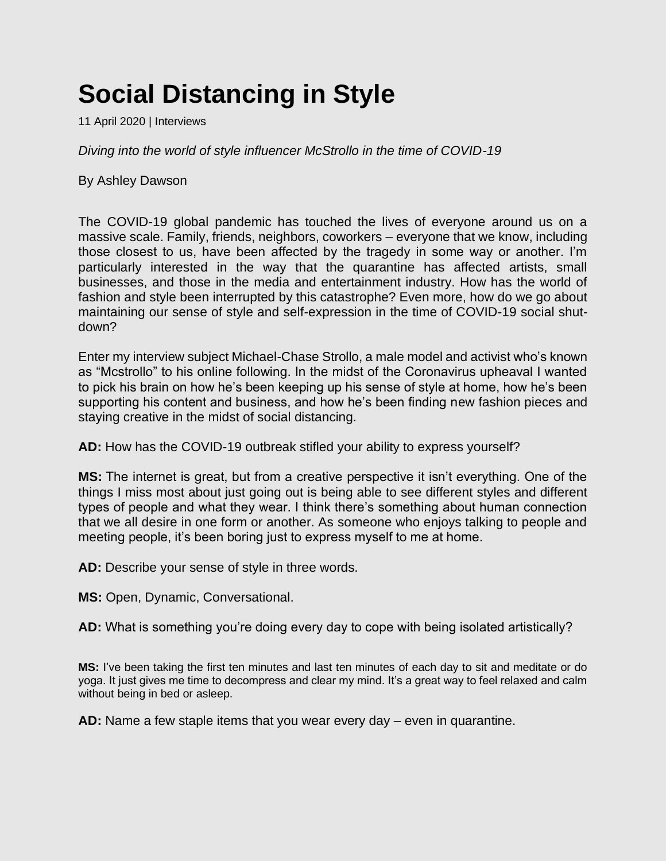# **Social Distancing in Style**

11 April 2020 | Interviews

*Diving into the world of style influencer McStrollo in the time of COVID-19*

By Ashley Dawson

The COVID-19 global pandemic has touched the lives of everyone around us on a massive scale. Family, friends, neighbors, coworkers – everyone that we know, including those closest to us, have been affected by the tragedy in some way or another. I'm particularly interested in the way that the quarantine has affected artists, small businesses, and those in the media and entertainment industry. How has the world of fashion and style been interrupted by this catastrophe? Even more, how do we go about maintaining our sense of style and self-expression in the time of COVID-19 social shutdown?

Enter my interview subject Michael-Chase Strollo, a male model and activist who's known as "Mcstrollo" to his online following. In the midst of the Coronavirus upheaval I wanted to pick his brain on how he's been keeping up his sense of style at home, how he's been supporting his content and business, and how he's been finding new fashion pieces and staying creative in the midst of social distancing.

**AD:** How has the COVID-19 outbreak stifled your ability to express yourself?

**MS:** The internet is great, but from a creative perspective it isn't everything. One of the things I miss most about just going out is being able to see different styles and different types of people and what they wear. I think there's something about human connection that we all desire in one form or another. As someone who enjoys talking to people and meeting people, it's been boring just to express myself to me at home.

**AD:** Describe your sense of style in three words.

**MS:** Open, Dynamic, Conversational.

**AD:** What is something you're doing every day to cope with being isolated artistically?

**MS:** I've been taking the first ten minutes and last ten minutes of each day to sit and meditate or do yoga. It just gives me time to decompress and clear my mind. It's a great way to feel relaxed and calm without being in bed or asleep.

**AD:** Name a few staple items that you wear every day – even in quarantine.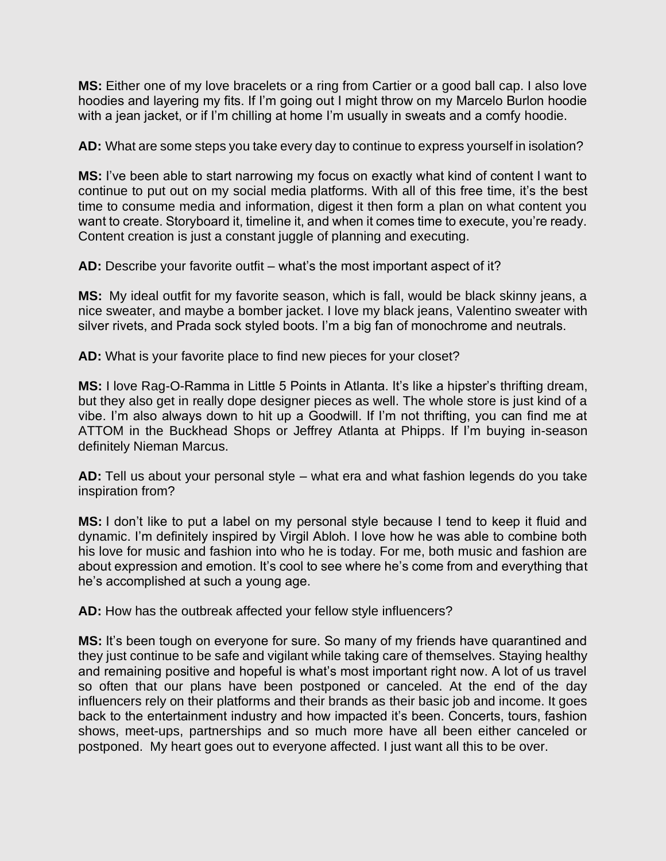**MS:** Either one of my love bracelets or a ring from Cartier or a good ball cap. I also love hoodies and layering my fits. If I'm going out I might throw on my Marcelo Burlon hoodie with a jean jacket, or if I'm chilling at home I'm usually in sweats and a comfy hoodie.

**AD:** What are some steps you take every day to continue to express yourself in isolation?

**MS:** I've been able to start narrowing my focus on exactly what kind of content I want to continue to put out on my social media platforms. With all of this free time, it's the best time to consume media and information, digest it then form a plan on what content you want to create. Storyboard it, timeline it, and when it comes time to execute, you're ready. Content creation is just a constant juggle of planning and executing.

**AD:** Describe your favorite outfit – what's the most important aspect of it?

**MS:** My ideal outfit for my favorite season, which is fall, would be black skinny jeans, a nice sweater, and maybe a bomber jacket. I love my black jeans, Valentino sweater with silver rivets, and Prada sock styled boots. I'm a big fan of monochrome and neutrals.

**AD:** What is your favorite place to find new pieces for your closet?

**MS:** I love Rag-O-Ramma in Little 5 Points in Atlanta. It's like a hipster's thrifting dream, but they also get in really dope designer pieces as well. The whole store is just kind of a vibe. I'm also always down to hit up a Goodwill. If I'm not thrifting, you can find me at ATTOM in the Buckhead Shops or Jeffrey Atlanta at Phipps. If I'm buying in-season definitely Nieman Marcus.

**AD:** Tell us about your personal style – what era and what fashion legends do you take inspiration from?

**MS:** I don't like to put a label on my personal style because I tend to keep it fluid and dynamic. I'm definitely inspired by Virgil Abloh. I love how he was able to combine both his love for music and fashion into who he is today. For me, both music and fashion are about expression and emotion. It's cool to see where he's come from and everything that he's accomplished at such a young age.

**AD:** How has the outbreak affected your fellow style influencers?

**MS:** It's been tough on everyone for sure. So many of my friends have quarantined and they just continue to be safe and vigilant while taking care of themselves. Staying healthy and remaining positive and hopeful is what's most important right now. A lot of us travel so often that our plans have been postponed or canceled. At the end of the day influencers rely on their platforms and their brands as their basic job and income. It goes back to the entertainment industry and how impacted it's been. Concerts, tours, fashion shows, meet-ups, partnerships and so much more have all been either canceled or postponed. My heart goes out to everyone affected. I just want all this to be over.